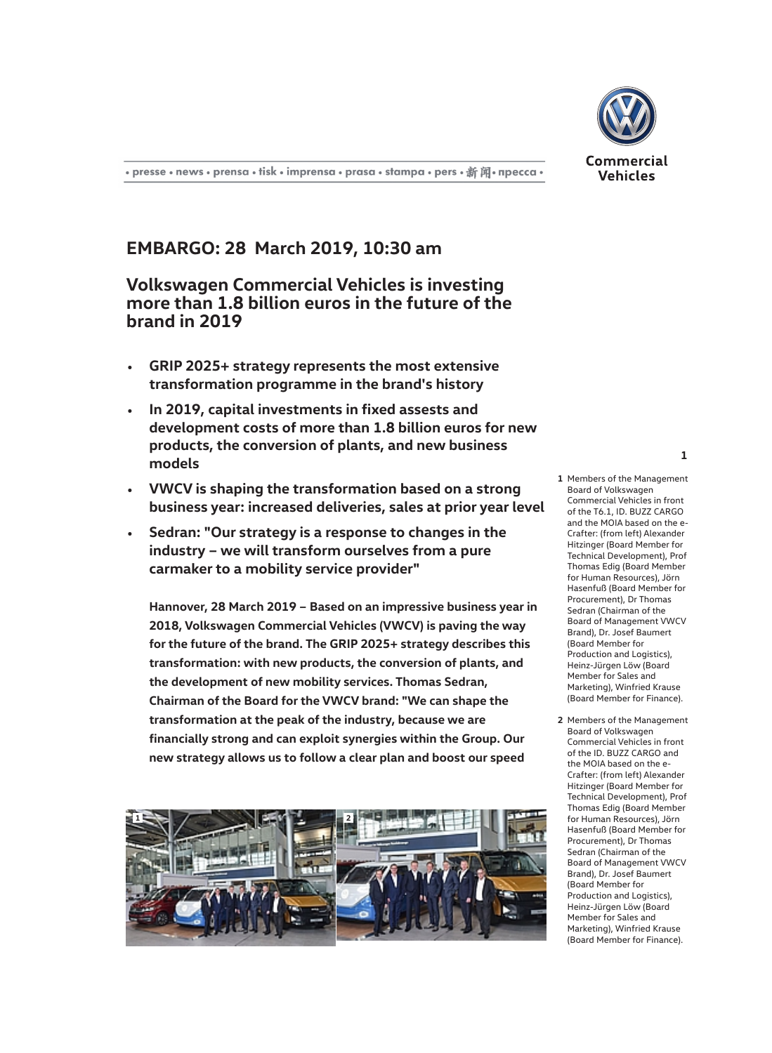

## **EMBARGO: 28 March 2019, 10:30 am**

**Volkswagen Commercial Vehicles is investing more than 1.8 billion euros in the future of the brand in 2019**

- **GRIP 2025+ strategy represents the most extensive transformation programme in the brand's history**
- **In 2019, capital investments in fixed assests and development costs of more than 1.8 billion euros for new products, the conversion of plants, and new business models**
- **VWCV is shaping the transformation based on a strong business year: increased deliveries, sales at prior year level**
- **Sedran: "Our strategy is a response to changes in the industry – we will transform ourselves from a pure carmaker to a mobility service provider"**

**Hannover, 28 March 2019 – Based on an impressive business year in 2018, Volkswagen Commercial Vehicles (VWCV) is paving the way for the future of the brand. The GRIP 2025+ strategy describes this transformation: with new products, the conversion of plants, and the development of new mobility services. Thomas Sedran, Chairman of the Board for the VWCV brand: "We can shape the transformation at the peak of the industry, because we are financially strong and can exploit synergies within the Group. Our new strategy allows us to follow a clear plan and boost our speed**



## **1** Members of the Management Board of Volkswagen Commercial Vehicles in front of the T6.1, ID. BUZZ CARGO and the MOIA based on the e-Crafter: (from left) Alexander Hitzinger (Board Member for Technical Development), Prof Thomas Edig (Board Member for Human Resources), Jörn Hasenfuß (Board Member for Procurement), Dr Thomas Sedran (Chairman of the Board of Management VWCV Brand), Dr. Josef Baumert (Board Member for Production and Logistics), Heinz-Jürgen Löw (Board Member for Sales and Marketing), Winfried Krause (Board Member for Finance).

**2** Members of the Management Board of Volkswagen Commercial Vehicles in front of the ID. BUZZ CARGO and the MOIA based on the e-Crafter: (from left) Alexander Hitzinger (Board Member for Technical Development), Prof Thomas Edig (Board Member for Human Resources), Jörn Hasenfuß (Board Member for Procurement), Dr Thomas Sedran (Chairman of the Board of Management VWCV Brand), Dr. Josef Baumert (Board Member for Production and Logistics), Heinz-Jürgen Löw (Board Member for Sales and Marketing), Winfried Krause (Board Member for Finance).

**1**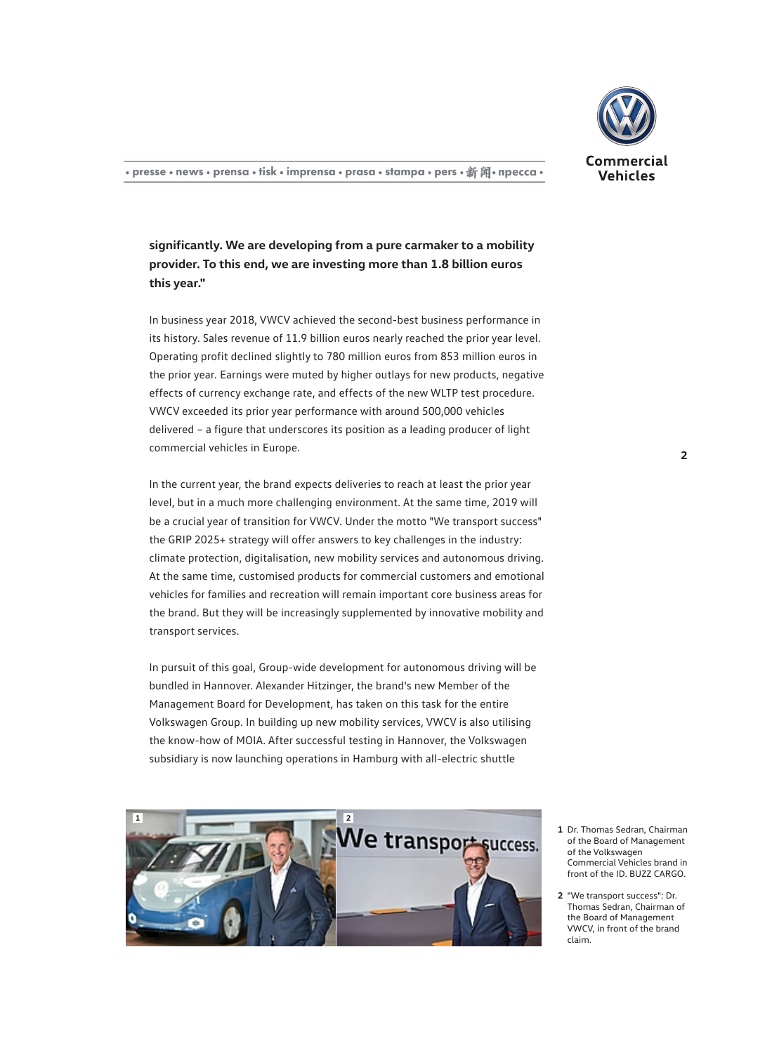

**significantly. We are developing from a pure carmaker to a mobility provider. To this end, we are investing more than 1.8 billion euros this year."**

In business year 2018, VWCV achieved the second-best business performance in its history. Sales revenue of 11.9 billion euros nearly reached the prior year level. Operating profit declined slightly to 780 million euros from 853 million euros in the prior year. Earnings were muted by higher outlays for new products, negative effects of currency exchange rate, and effects of the new WLTP test procedure. VWCV exceeded its prior year performance with around 500,000 vehicles delivered – a figure that underscores its position as a leading producer of light commercial vehicles in Europe.

In the current year, the brand expects deliveries to reach at least the prior year level, but in a much more challenging environment. At the same time, 2019 will be a crucial year of transition for VWCV. Under the motto "We transport success" the GRIP 2025+ strategy will offer answers to key challenges in the industry: climate protection, digitalisation, new mobility services and autonomous driving. At the same time, customised products for commercial customers and emotional vehicles for families and recreation will remain important core business areas for the brand. But they will be increasingly supplemented by innovative mobility and transport services.

In pursuit of this goal, Group-wide development for autonomous driving will be bundled in Hannover. Alexander Hitzinger, the brand's new Member of the Management Board for Development, has taken on this task for the entire Volkswagen Group. In building up new mobility services, VWCV is also utilising the know-how of MOIA. After successful testing in Hannover, the Volkswagen subsidiary is now launching operations in Hamburg with all-electric shuttle



- **1** Dr. Thomas Sedran, Chairman of the Board of Management of the Volkswagen Commercial Vehicles brand in front of the ID. BUZZ CARGO.
- **2** "We transport success": Dr. Thomas Sedran, Chairman of the Board of Management VWCV, in front of the brand claim.